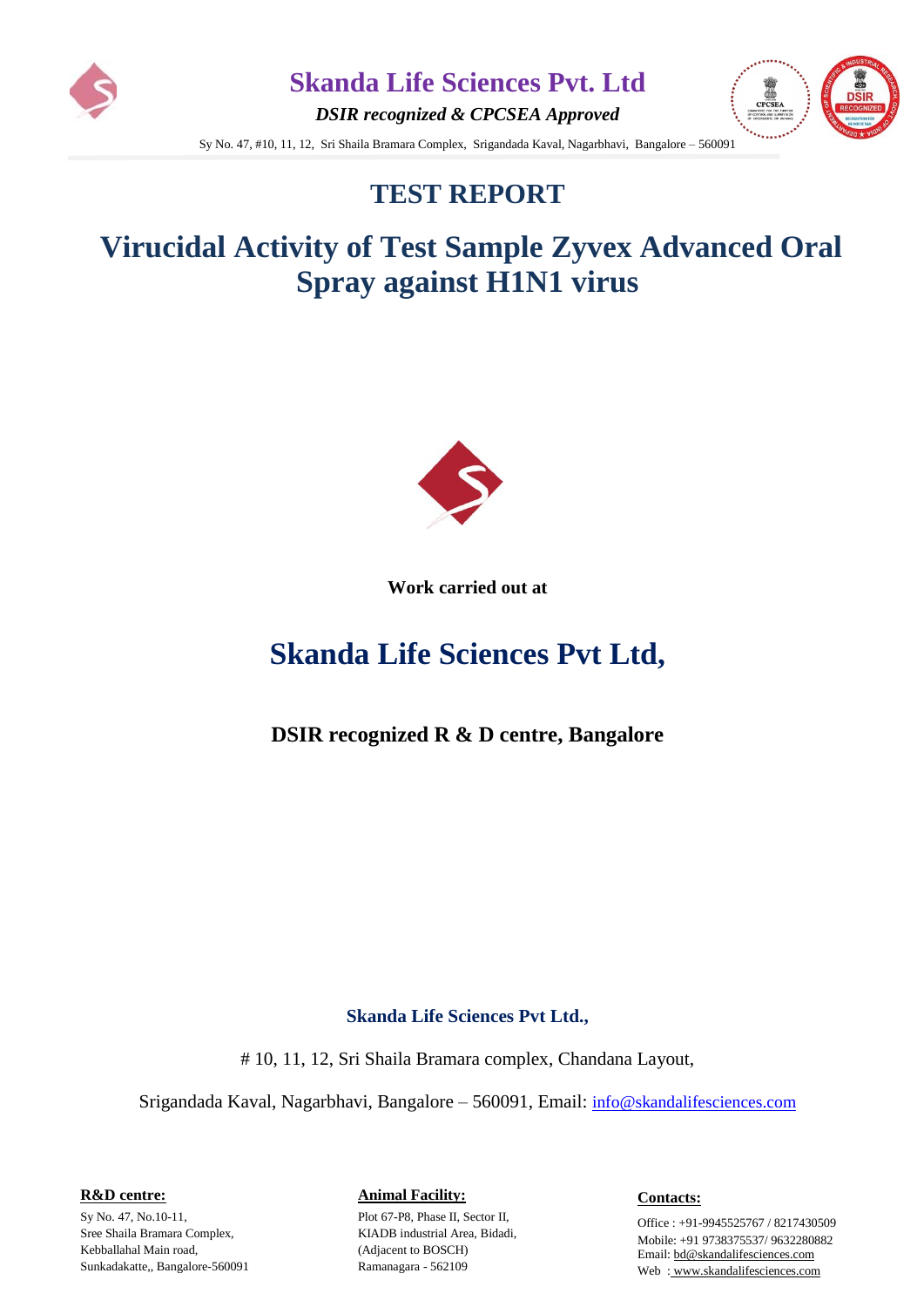

*DSIR recognized & CPCSEA Approved*



Sy No. 47, #10, 11, 12, Sri Shaila Bramara Complex, Srigandada Kaval, Nagarbhavi, Bangalore – 560091

## **TEST REPORT**

# **Virucidal Activity of Test Sample Zyvex Advanced Oral Spray against H1N1 virus**



**Work carried out at** 

# **Skanda Life Sciences Pvt Ltd,**

**DSIR recognized R & D centre, Bangalore**

#### **Skanda Life Sciences Pvt Ltd.,**

# 10, 11, 12, Sri Shaila Bramara complex, Chandana Layout,

Srigandada Kaval, Nagarbhavi, Bangalore – 560091, Email: [info@skandalifesciences.com](mailto:info@skandalifesciences.com)

**R&D centre:** 

Sy No. 47, No.10-11, Sree Shaila Bramara Complex, Kebballahal Main road, Sunkadakatte,, Bangalore-560091

#### **Animal Facility:**

Plot 67-P8, Phase II, Sector II, KIADB industrial Area, Bidadi, (Adjacent to BOSCH) Ramanagara - 562109

**Contacts:**

Office : +91-9945525767 / 8217430509 Mobile: +91 9738375537/ 9632280882 Email[: bd@skandalifesciences.com](mailto:bd@skandalifesciences.com) Web : [www.skandalifesciences.com](http://www.skandalifesciences.com/)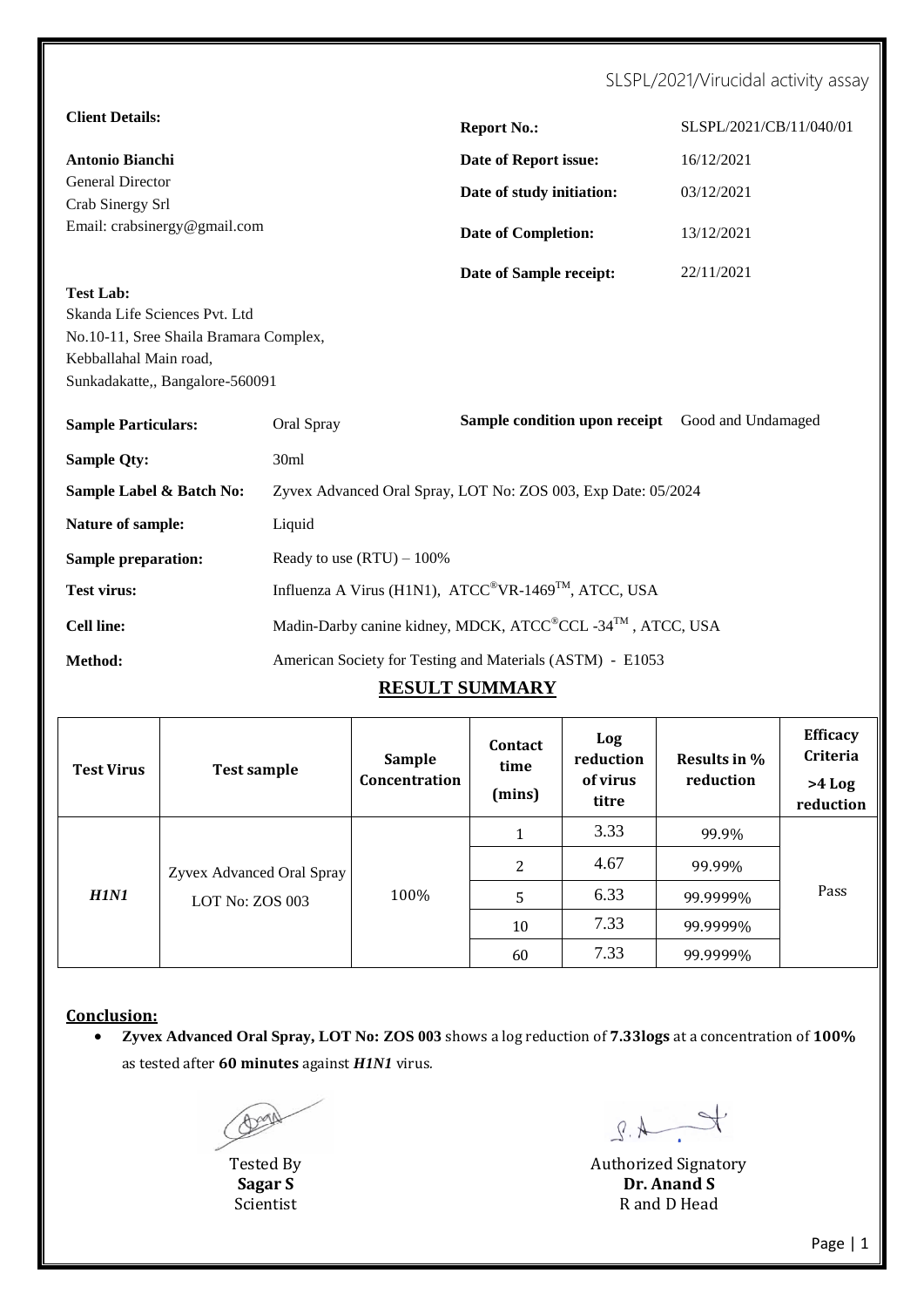### SLSPL/2021/Virucidal activity assay

| <b>Client Details:</b>                                                                                                               |                                                                              | <b>Report No.:</b>                                            | SLSPL/2021/CB/11/040/01 |  |  |  |
|--------------------------------------------------------------------------------------------------------------------------------------|------------------------------------------------------------------------------|---------------------------------------------------------------|-------------------------|--|--|--|
| <b>Antonio Bianchi</b>                                                                                                               |                                                                              | Date of Report issue:                                         | 16/12/2021              |  |  |  |
| <b>General Director</b>                                                                                                              |                                                                              | Date of study initiation:                                     | 03/12/2021              |  |  |  |
| Crab Sinergy Srl<br>Email: crabsinergy@gmail.com                                                                                     |                                                                              |                                                               | 13/12/2021              |  |  |  |
|                                                                                                                                      |                                                                              | <b>Date of Completion:</b>                                    |                         |  |  |  |
| <b>Test Lab:</b>                                                                                                                     |                                                                              | Date of Sample receipt:                                       | 22/11/2021              |  |  |  |
| Skanda Life Sciences Pvt. Ltd<br>No.10-11, Sree Shaila Bramara Complex,<br>Kebballahal Main road,<br>Sunkadakatte,, Bangalore-560091 |                                                                              |                                                               |                         |  |  |  |
| <b>Sample Particulars:</b>                                                                                                           | Oral Spray                                                                   | Sample condition upon receipt                                 | Good and Undamaged      |  |  |  |
| <b>Sample Qty:</b>                                                                                                                   | 30ml                                                                         |                                                               |                         |  |  |  |
| Sample Label & Batch No:                                                                                                             |                                                                              | Zyvex Advanced Oral Spray, LOT No: ZOS 003, Exp Date: 05/2024 |                         |  |  |  |
| Nature of sample:                                                                                                                    | Liquid                                                                       |                                                               |                         |  |  |  |
| <b>Sample preparation:</b>                                                                                                           | Ready to use $(RTU) - 100\%$                                                 |                                                               |                         |  |  |  |
| <b>Test virus:</b>                                                                                                                   | Influenza A Virus (H1N1), ATCC <sup>®</sup> VR-1469 <sup>™</sup> , ATCC, USA |                                                               |                         |  |  |  |
| <b>Cell line:</b>                                                                                                                    | Madin-Darby canine kidney, MDCK, ATCC®CCL -34TM, ATCC, USA                   |                                                               |                         |  |  |  |
| Method:                                                                                                                              | American Society for Testing and Materials (ASTM) - E1053                    |                                                               |                         |  |  |  |
|                                                                                                                                      |                                                                              | <b>RESULT SUMMARY</b>                                         |                         |  |  |  |

| <b>Test Virus</b> | <b>Test sample</b>                           | <b>Sample</b><br>Concentration | <b>Contact</b><br>time<br>(mins) | Log<br>reduction<br>of virus<br>titre | Results in %<br>reduction | <b>Efficacy</b><br><b>Criteria</b><br>$>4$ Log<br>reduction |  |   |      |          |      |        |  |
|-------------------|----------------------------------------------|--------------------------------|----------------------------------|---------------------------------------|---------------------------|-------------------------------------------------------------|--|---|------|----------|------|--------|--|
| <b>H1N1</b>       | Zyvex Advanced Oral Spray<br>LOT No: ZOS 003 |                                | 1                                | 3.33                                  | 99.9%                     |                                                             |  |   |      |          |      |        |  |
|                   |                                              | 100%                           |                                  |                                       |                           |                                                             |  |   |      | 2        | 4.67 | 99.99% |  |
|                   |                                              |                                |                                  |                                       |                           |                                                             |  | 5 | 6.33 | 99.9999% | Pass |        |  |
|                   |                                              |                                | 10                               | 7.33                                  | 99.9999%                  |                                                             |  |   |      |          |      |        |  |
|                   |                                              |                                | 60                               | 7.33                                  | 99.9999%                  |                                                             |  |   |      |          |      |        |  |

**Conclusion:**

 **Zyvex Advanced Oral Spray, LOT No: ZOS 003** shows a log reduction of **7.33logs** at a concentration of **100%** as tested after **60 minutes** against *H1N1* virus*.*

 $\frac{1}{2}$ 

Tested By Authorized Signatory<br>
Sagar S<br>
The Manus Contract Contract Contract Contract Contract Contract Contract Contract Contract Contract Contract Contract Contract Contract Contract Contract Contract Contract Contract **Sagar S Dr. Anand S** Scientist R and D Head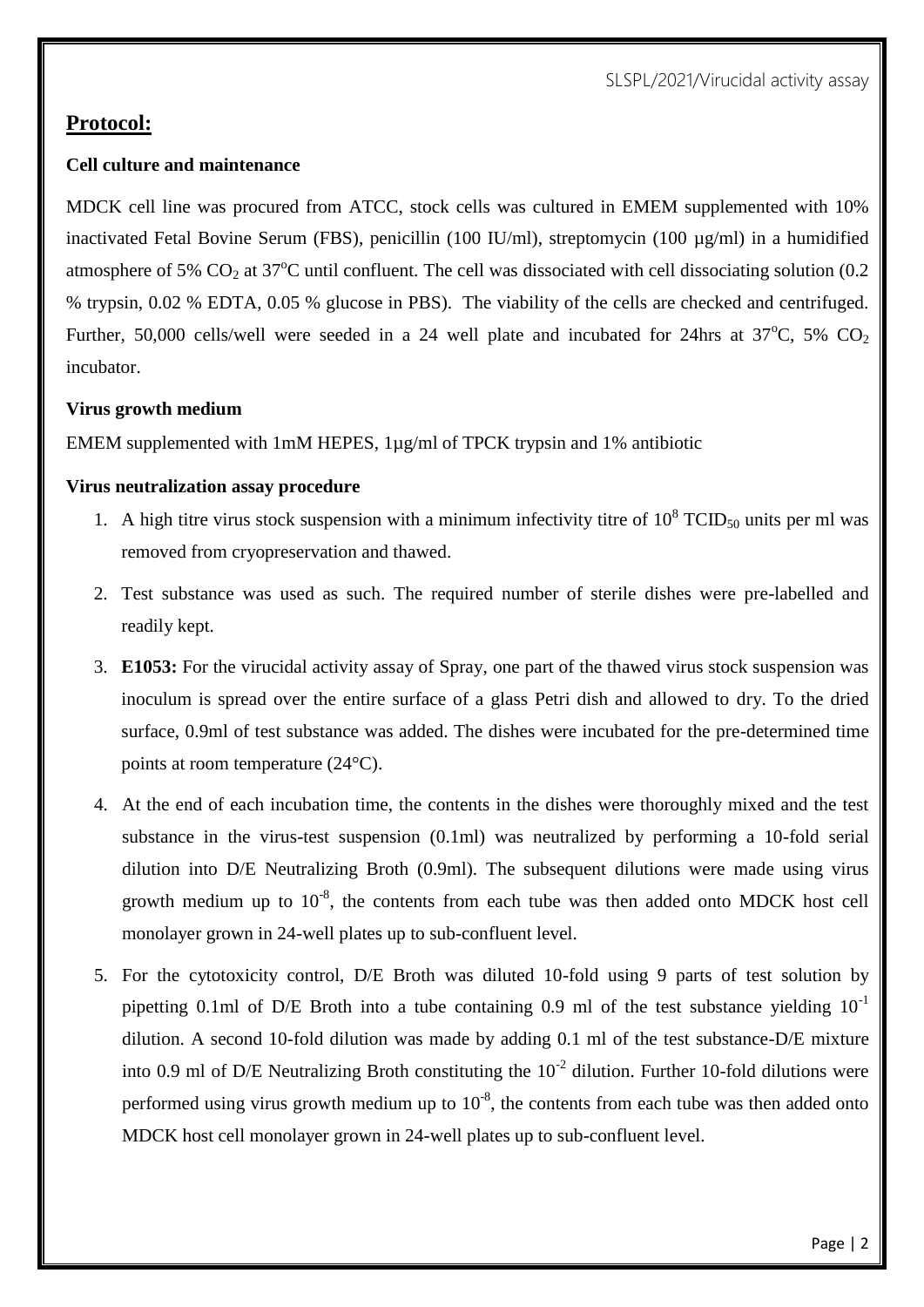SLSPL/2021/Virucidal activity assay

### **Protocol:**

#### **Cell culture and maintenance**

MDCK cell line was procured from ATCC, stock cells was cultured in EMEM supplemented with 10% inactivated Fetal Bovine Serum (FBS), penicillin (100 IU/ml), streptomycin (100 µg/ml) in a humidified atmosphere of 5%  $CO<sub>2</sub>$  at 37<sup>o</sup>C until confluent. The cell was dissociated with cell dissociating solution (0.2) % trypsin, 0.02 % EDTA, 0.05 % glucose in PBS). The viability of the cells are checked and centrifuged. Further, 50,000 cells/well were seeded in a 24 well plate and incubated for 24hrs at  $37^{\circ}$ C, 5% CO<sub>2</sub> incubator.

#### **Virus growth medium**

EMEM supplemented with 1mM HEPES, 1µg/ml of TPCK trypsin and 1% antibiotic

#### **Virus neutralization assay procedure**

- 1. A high titre virus stock suspension with a minimum infectivity titre of  $10^8$  TCID<sub>50</sub> units per ml was removed from cryopreservation and thawed.
- 2. Test substance was used as such. The required number of sterile dishes were pre-labelled and readily kept.
- 3. **E1053:** For the virucidal activity assay of Spray, one part of the thawed virus stock suspension was inoculum is spread over the entire surface of a glass Petri dish and allowed to dry. To the dried surface, 0.9ml of test substance was added. The dishes were incubated for the pre-determined time points at room temperature (24°C).
- 4. At the end of each incubation time, the contents in the dishes were thoroughly mixed and the test substance in the virus-test suspension (0.1ml) was neutralized by performing a 10-fold serial dilution into D/E Neutralizing Broth (0.9ml). The subsequent dilutions were made using virus growth medium up to  $10^{-8}$ , the contents from each tube was then added onto MDCK host cell monolayer grown in 24-well plates up to sub-confluent level.
- 5. For the cytotoxicity control, D/E Broth was diluted 10-fold using 9 parts of test solution by pipetting 0.1ml of D/E Broth into a tube containing 0.9 ml of the test substance yielding  $10^{-1}$ dilution. A second 10-fold dilution was made by adding 0.1 ml of the test substance-D/E mixture into 0.9 ml of D/E Neutralizing Broth constituting the  $10^{-2}$  dilution. Further 10-fold dilutions were performed using virus growth medium up to  $10^{-8}$ , the contents from each tube was then added onto MDCK host cell monolayer grown in 24-well plates up to sub-confluent level.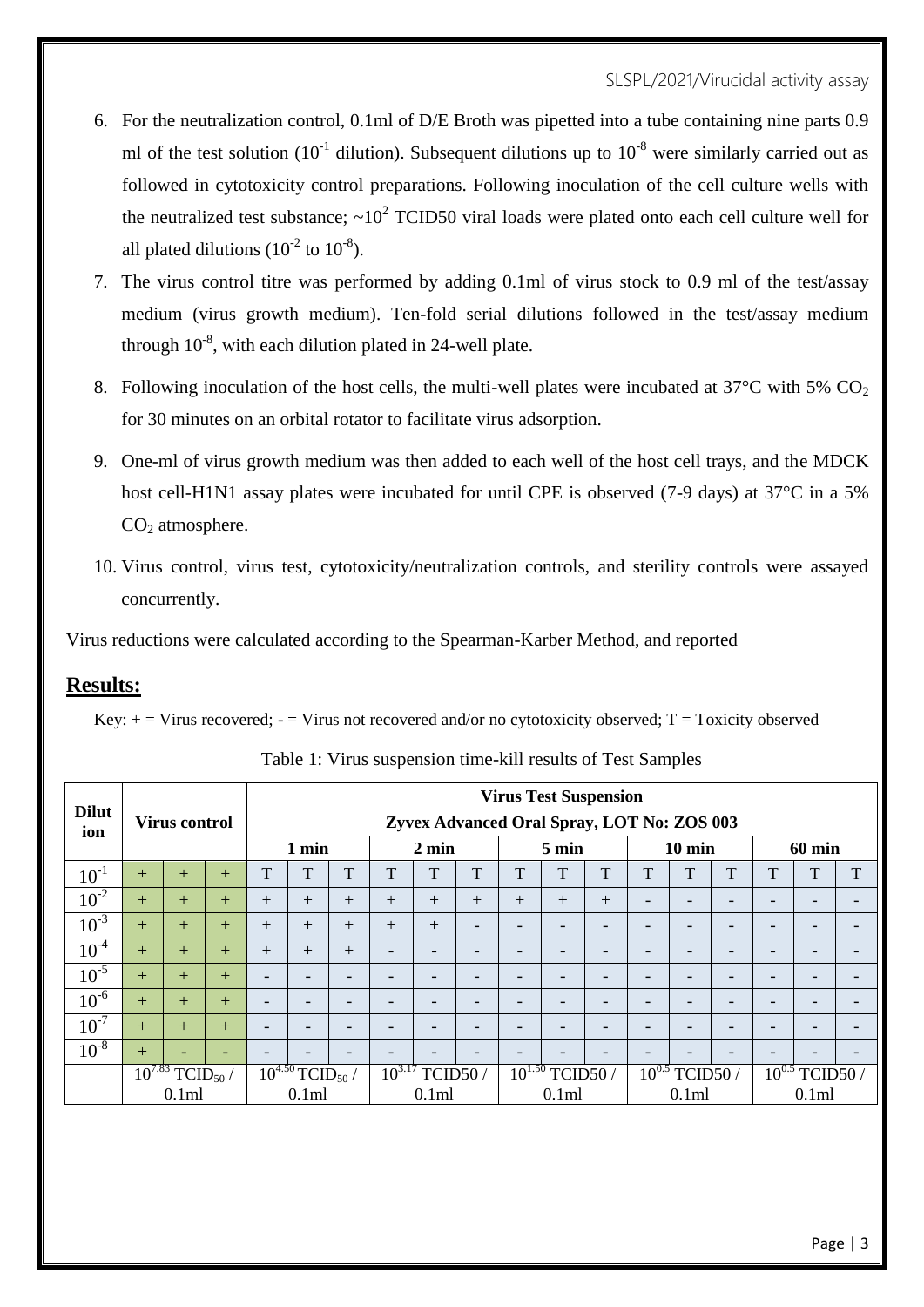#### SLSPL/2021/Virucidal activity assay

- 6. For the neutralization control, 0.1ml of D/E Broth was pipetted into a tube containing nine parts 0.9 ml of the test solution (10<sup>-1</sup> dilution). Subsequent dilutions up to  $10^{-8}$  were similarly carried out as followed in cytotoxicity control preparations. Following inoculation of the cell culture wells with the neutralized test substance;  $\sim 10^2$  TCID50 viral loads were plated onto each cell culture well for all plated dilutions  $(10^{-2} \text{ to } 10^{-8})$ .
- 7. The virus control titre was performed by adding 0.1ml of virus stock to 0.9 ml of the test/assay medium (virus growth medium). Ten-fold serial dilutions followed in the test/assay medium through  $10^{-8}$ , with each dilution plated in 24-well plate.
- 8. Following inoculation of the host cells, the multi-well plates were incubated at  $37^{\circ}$ C with 5% CO<sub>2</sub> for 30 minutes on an orbital rotator to facilitate virus adsorption.
- 9. One-ml of virus growth medium was then added to each well of the host cell trays, and the MDCK host cell-H1N1 assay plates were incubated for until CPE is observed (7-9 days) at 37°C in a 5%  $CO<sub>2</sub>$  atmosphere.
- 10. Virus control, virus test, cytotoxicity/neutralization controls, and sterility controls were assayed concurrently.

Virus reductions were calculated according to the Spearman-Karber Method, and reported

### **Results:**

Key:  $+=$  Virus recovered;  $=$  Virus not recovered and/or no cytotoxicity observed; T = Toxicity observed

|                     |                              |                      |     |                          |                                |                          |            |                          |                          |                                            |                          | <b>Virus Test Suspension</b> |                          |                  |              |            |                          |                          |
|---------------------|------------------------------|----------------------|-----|--------------------------|--------------------------------|--------------------------|------------|--------------------------|--------------------------|--------------------------------------------|--------------------------|------------------------------|--------------------------|------------------|--------------|------------|--------------------------|--------------------------|
| <b>Dilut</b><br>ion |                              | <b>Virus control</b> |     |                          |                                |                          |            |                          |                          | Zyvex Advanced Oral Spray, LOT No: ZOS 003 |                          |                              |                          |                  |              |            |                          |                          |
|                     |                              |                      |     |                          | 1 min                          |                          |            | $2 \text{ min}$          |                          |                                            | $5 \text{ min}$          |                              |                          | $10 \text{ min}$ |              |            | <b>60 min</b>            |                          |
| $10^{-1}$           | $+$                          | $^{+}$               | $+$ | T                        | T                              | T                        | T          | $\mathbf{T}$             | T                        | T                                          | T                        | T                            | T                        | T                | $\mathbf{r}$ | T          | ௱                        | T                        |
| $10^{-2}$           | $+$                          | $+$                  | $+$ | $^{+}$                   | $+$                            | $^{+}$                   | $^{+}$     | $+$                      | $+$                      | $^{+}$                                     | $+$                      | $+$                          | $\overline{\phantom{0}}$ | -                | -            |            |                          | $\overline{\phantom{0}}$ |
| $10^{-3}$           | $+$                          | $+$                  | $+$ | $+$                      | $+$                            | $+$                      | $^{+}$     | $+$                      | $\overline{\phantom{0}}$ | -                                          | $\overline{\phantom{a}}$ | $\overline{\phantom{0}}$     | ۰                        | -                | -            |            | $\overline{\phantom{0}}$ | $\overline{\phantom{a}}$ |
| $10^{-4}$           | $+$                          | $+$                  | $+$ | $+$                      | $+$                            | $+$                      | -          | $\overline{\phantom{0}}$ | -                        |                                            | $\overline{\phantom{0}}$ | $\overline{\phantom{0}}$     | $\overline{\phantom{0}}$ | -                | -            |            |                          | $\overline{\phantom{0}}$ |
| $10^{-5}$           | $+$                          | $+$                  | $+$ | $\overline{\phantom{0}}$ | $\overline{\phantom{a}}$       | -                        | -          |                          |                          |                                            |                          | -                            | -                        |                  |              |            |                          | -                        |
| $10^{-6}$           | $+$                          | $+$                  | $+$ | $\overline{\phantom{0}}$ | $\overline{\phantom{a}}$       | $\overline{\phantom{0}}$ | -          | -                        | -                        |                                            | $\overline{\phantom{a}}$ | $\overline{\phantom{0}}$     | $\overline{\phantom{0}}$ | -                | -            | -          | $\overline{\phantom{a}}$ | $\overline{\phantom{0}}$ |
| $10^{-7}$           | $+$                          | $+$                  | $+$ | $\overline{\phantom{0}}$ | $\overline{\phantom{a}}$       | ٠                        | -          | $\overline{\phantom{0}}$ | $\overline{\phantom{0}}$ |                                            | $\overline{\phantom{0}}$ | $\overline{\phantom{0}}$     | $\overline{\phantom{0}}$ | -                | -            |            |                          | $\overline{\phantom{a}}$ |
| $10^{-8}$           | $+$                          | -                    | -   | $\overline{\phantom{0}}$ | $\qquad \qquad$                | ٠                        |            |                          | -                        |                                            |                          | $\overline{\phantom{0}}$     | -                        |                  | -            |            |                          | $\overline{\phantom{0}}$ |
|                     | $10^{7.83}$<br>$TCID_{50}$ / |                      |     |                          | $10^{4.50}$ TCID <sub>50</sub> |                          | $10^{3.1}$ | TCID50                   |                          | $10^{1.50}$                                | TCID50/                  |                              | $10^{0.5}$               | TCID50           |              | $10^{0.5}$ | TCID50                   |                          |
|                     | 0.1ml                        |                      |     | 0.1ml                    |                                |                          | 0.1ml      |                          |                          | 0.1 <sub>m</sub>                           |                          |                              | 0.1ml                    |                  |              | 0.1ml      |                          |                          |

Table 1: Virus suspension time-kill results of Test Samples